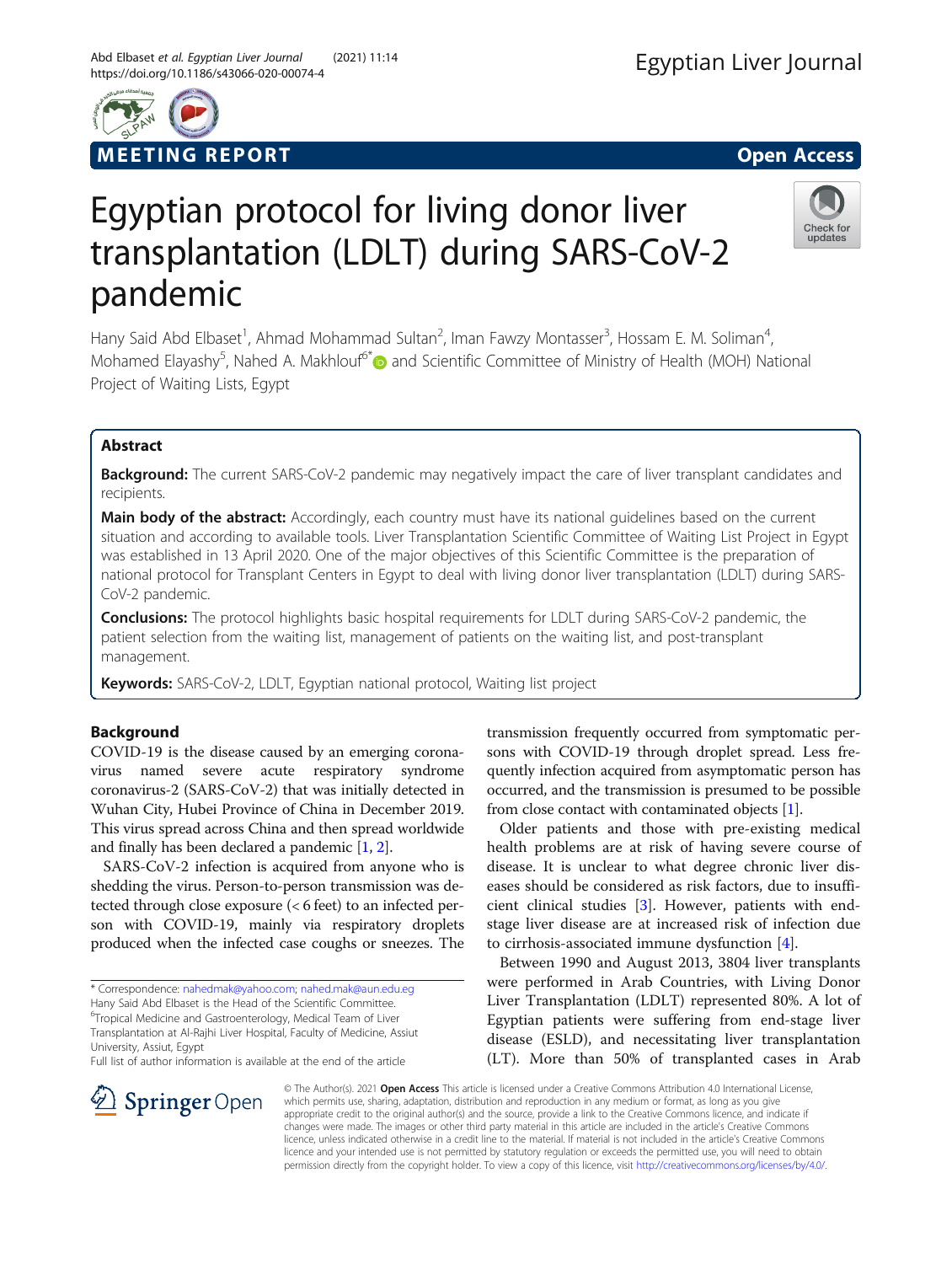# Egyptian protocol for living donor liver transplantation (LDLT) during SARS-CoV-2 pandemic

Hany Said Abd Elbaset<sup>1</sup>, Ahmad Mohammad Sultan<sup>2</sup>, Iman Fawzy Montasser<sup>3</sup>, Hossam E. M. Soliman<sup>4</sup> , Mohamed Elayashy<sup>5</sup>, Nahed A. Makhlouf<sup>6[\\*](http://orcid.org/0000-0003-2949-4369)</sup> and Scientific Committee of Ministry of Health (MOH) National Project of Waiting Lists, Egypt

# Abstract

Background: The current SARS-CoV-2 pandemic may negatively impact the care of liver transplant candidates and recipients.

Main body of the abstract: Accordingly, each country must have its national guidelines based on the current situation and according to available tools. Liver Transplantation Scientific Committee of Waiting List Project in Egypt was established in 13 April 2020. One of the major objectives of this Scientific Committee is the preparation of national protocol for Transplant Centers in Egypt to deal with living donor liver transplantation (LDLT) during SARS-CoV-2 pandemic.

**Conclusions:** The protocol highlights basic hospital requirements for LDLT during SARS-CoV-2 pandemic, the patient selection from the waiting list, management of patients on the waiting list, and post-transplant management.

Keywords: SARS-CoV-2, LDLT, Egyptian national protocol, Waiting list project

#### Background

COVID-19 is the disease caused by an emerging coronavirus named severe acute respiratory syndrome coronavirus-2 (SARS-CoV-2) that was initially detected in Wuhan City, Hubei Province of China in December 2019. This virus spread across China and then spread worldwide and finally has been declared a pandemic [\[1](#page-4-0), [2\]](#page-4-0).

SARS-CoV-2 infection is acquired from anyone who is shedding the virus. Person-to-person transmission was detected through close exposure (< 6 feet) to an infected person with COVID-19, mainly via respiratory droplets produced when the infected case coughs or sneezes. The

\* Correspondence: [nahedmak@yahoo.com;](mailto:nahedmak@yahoo.com) [nahed.mak@aun.edu.eg](mailto:nahed.mak@aun.edu.eg)

Hany Said Abd Elbaset is the Head of the Scientific Committee.

6 Tropical Medicine and Gastroenterology, Medical Team of Liver Transplantation at Al-Rajhi Liver Hospital, Faculty of Medicine, Assiut

University, Assiut, Egypt

SpringerOpen

Full list of author information is available at the end of the article

transmission frequently occurred from symptomatic persons with COVID-19 through droplet spread. Less frequently infection acquired from asymptomatic person has occurred, and the transmission is presumed to be possible from close contact with contaminated objects [\[1](#page-4-0)].

Older patients and those with pre-existing medical health problems are at risk of having severe course of disease. It is unclear to what degree chronic liver diseases should be considered as risk factors, due to insufficient clinical studies [\[3](#page-4-0)]. However, patients with endstage liver disease are at increased risk of infection due to cirrhosis-associated immune dysfunction [\[4](#page-4-0)].

Between 1990 and August 2013, 3804 liver transplants were performed in Arab Countries, with Living Donor Liver Transplantation (LDLT) represented 80%. A lot of Egyptian patients were suffering from end-stage liver disease (ESLD), and necessitating liver transplantation (LT). More than 50% of transplanted cases in Arab

© The Author(s). 2021 Open Access This article is licensed under a Creative Commons Attribution 4.0 International License, which permits use, sharing, adaptation, distribution and reproduction in any medium or format, as long as you give appropriate credit to the original author(s) and the source, provide a link to the Creative Commons licence, and indicate if changes were made. The images or other third party material in this article are included in the article's Creative Commons licence, unless indicated otherwise in a credit line to the material. If material is not included in the article's Creative Commons licence and your intended use is not permitted by statutory regulation or exceeds the permitted use, you will need to obtain permission directly from the copyright holder. To view a copy of this licence, visit <http://creativecommons.org/licenses/by/4.0/>.



# M EETING REPORT AND THE SECOND SECOND ACCESS AND LOCAL CONTRACT OPEN ACCESS



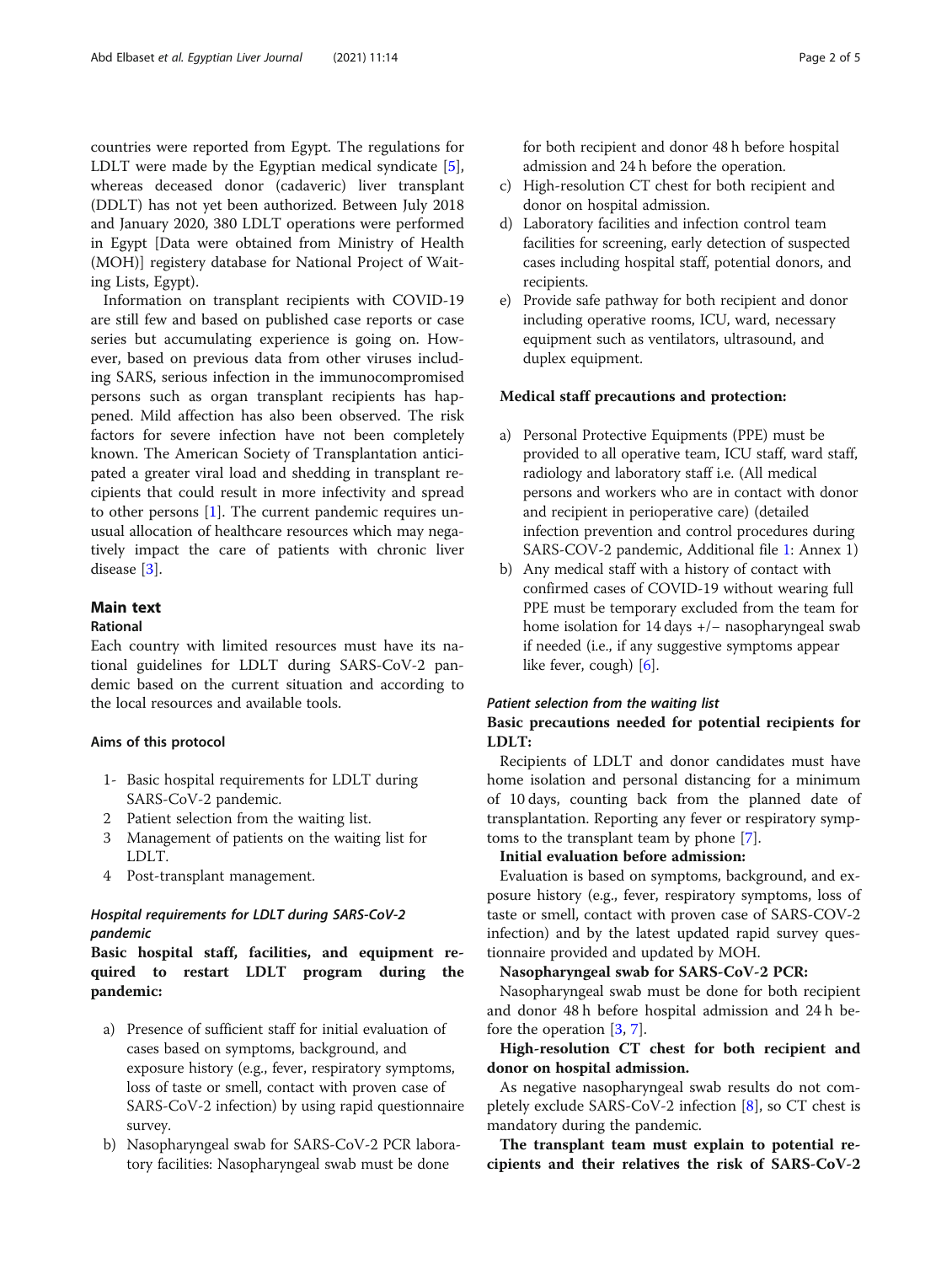countries were reported from Egypt. The regulations for LDLT were made by the Egyptian medical syndicate [\[5](#page-4-0)], whereas deceased donor (cadaveric) liver transplant (DDLT) has not yet been authorized. Between July 2018 and January 2020, 380 LDLT operations were performed in Egypt [Data were obtained from Ministry of Health (MOH)] registery database for National Project of Waiting Lists, Egypt).

Information on transplant recipients with COVID-19 are still few and based on published case reports or case series but accumulating experience is going on. However, based on previous data from other viruses including SARS, serious infection in the immunocompromised persons such as organ transplant recipients has happened. Mild affection has also been observed. The risk factors for severe infection have not been completely known. The American Society of Transplantation anticipated a greater viral load and shedding in transplant recipients that could result in more infectivity and spread to other persons [[1\]](#page-4-0). The current pandemic requires unusual allocation of healthcare resources which may negatively impact the care of patients with chronic liver disease [\[3](#page-4-0)].

# Main text

## Rational

Each country with limited resources must have its national guidelines for LDLT during SARS-CoV-2 pandemic based on the current situation and according to the local resources and available tools.

#### Aims of this protocol

- 1- Basic hospital requirements for LDLT during SARS-CoV-2 pandemic.
- 2 Patient selection from the waiting list.
- 3 Management of patients on the waiting list for LDLT.
- 4 Post-transplant management.

## Hospital requirements for LDLT during SARS-CoV-2 pandemic

Basic hospital staff, facilities, and equipment required to restart LDLT program during the pandemic:

- a) Presence of sufficient staff for initial evaluation of cases based on symptoms, background, and exposure history (e.g., fever, respiratory symptoms, loss of taste or smell, contact with proven case of SARS-CoV-2 infection) by using rapid questionnaire survey.
- b) Nasopharyngeal swab for SARS-CoV-2 PCR laboratory facilities: Nasopharyngeal swab must be done

for both recipient and donor 48 h before hospital admission and 24 h before the operation.

- c) High-resolution CT chest for both recipient and donor on hospital admission.
- d) Laboratory facilities and infection control team facilities for screening, early detection of suspected cases including hospital staff, potential donors, and recipients.
- e) Provide safe pathway for both recipient and donor including operative rooms, ICU, ward, necessary equipment such as ventilators, ultrasound, and duplex equipment.

#### Medical staff precautions and protection:

- a) Personal Protective Equipments (PPE) must be provided to all operative team, ICU staff, ward staff, radiology and laboratory staff i.e. (All medical persons and workers who are in contact with donor and recipient in perioperative care) (detailed infection prevention and control procedures during SARS-COV-2 pandemic, Additional file [1:](#page-4-0) Annex 1)
- b) Any medical staff with a history of contact with confirmed cases of COVID-19 without wearing full PPE must be temporary excluded from the team for home isolation for 14 days +/− nasopharyngeal swab if needed (i.e., if any suggestive symptoms appear like fever, cough) [[6](#page-4-0)].

#### Patient selection from the waiting list

## Basic precautions needed for potential recipients for LDLT:

Recipients of LDLT and donor candidates must have home isolation and personal distancing for a minimum of 10 days, counting back from the planned date of transplantation. Reporting any fever or respiratory symptoms to the transplant team by phone [\[7](#page-4-0)].

#### Initial evaluation before admission:

Evaluation is based on symptoms, background, and exposure history (e.g., fever, respiratory symptoms, loss of taste or smell, contact with proven case of SARS-COV-2 infection) and by the latest updated rapid survey questionnaire provided and updated by MOH.

#### Nasopharyngeal swab for SARS-CoV-2 PCR:

Nasopharyngeal swab must be done for both recipient and donor 48 h before hospital admission and 24 h before the operation [[3,](#page-4-0) [7\]](#page-4-0).

## High-resolution CT chest for both recipient and donor on hospital admission.

As negative nasopharyngeal swab results do not completely exclude SARS-CoV-2 infection [[8\]](#page-4-0), so CT chest is mandatory during the pandemic.

The transplant team must explain to potential recipients and their relatives the risk of SARS-CoV-2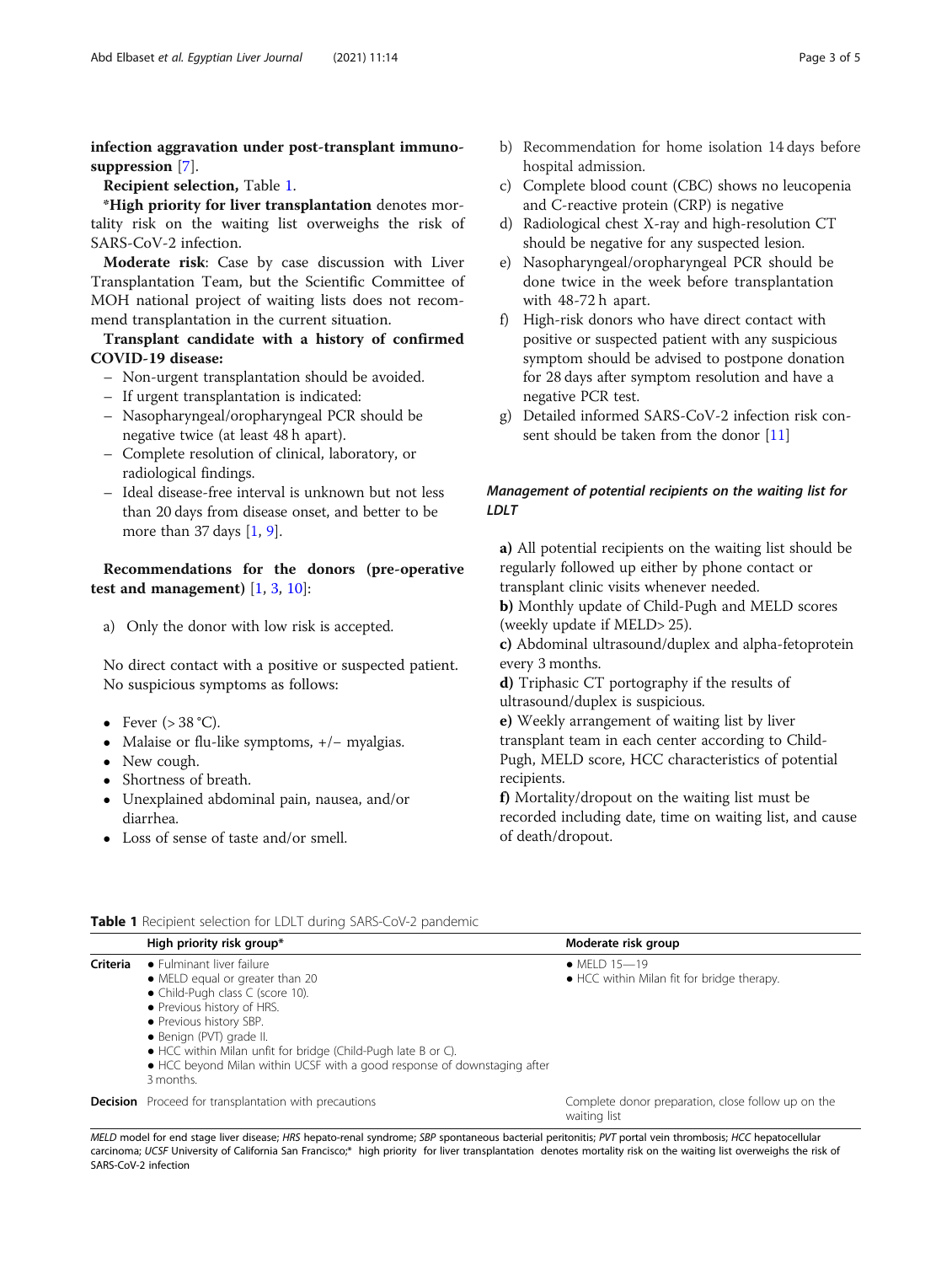infection aggravation under post-transplant immuno-suppression [\[7](#page-4-0)].

Recipient selection, Table 1.

\*High priority for liver transplantation denotes mortality risk on the waiting list overweighs the risk of SARS-CoV-2 infection.

Moderate risk: Case by case discussion with Liver Transplantation Team, but the Scientific Committee of MOH national project of waiting lists does not recommend transplantation in the current situation.

Transplant candidate with a history of confirmed COVID-19 disease:

- Non-urgent transplantation should be avoided.
- If urgent transplantation is indicated:
- Nasopharyngeal/oropharyngeal PCR should be negative twice (at least 48 h apart).
- Complete resolution of clinical, laboratory, or radiological findings.
- Ideal disease-free interval is unknown but not less than 20 days from disease onset, and better to be more than 37 days [[1,](#page-4-0) [9](#page-4-0)].

Recommendations for the donors (pre-operative test and management)  $[1, 3, 10]$  $[1, 3, 10]$  $[1, 3, 10]$  $[1, 3, 10]$  $[1, 3, 10]$  $[1, 3, 10]$  $[1, 3, 10]$ :

a) Only the donor with low risk is accepted.

No direct contact with a positive or suspected patient. No suspicious symptoms as follows:

- Fever  $(>38 \degree C)$ .
- Malaise or flu-like symptoms, +/− myalgias.
- New cough.
- Shortness of breath.
- Unexplained abdominal pain, nausea, and/or diarrhea.
- Loss of sense of taste and/or smell.
- c) Complete blood count (CBC) shows no leucopenia and C-reactive protein (CRP) is negative
- d) Radiological chest X-ray and high-resolution CT should be negative for any suspected lesion.
- e) Nasopharyngeal/oropharyngeal PCR should be done twice in the week before transplantation with 48-72 h apart.
- f) High-risk donors who have direct contact with positive or suspected patient with any suspicious symptom should be advised to postpone donation for 28 days after symptom resolution and have a negative PCR test.
- g) Detailed informed SARS-CoV-2 infection risk con-sent should be taken from the donor [[11](#page-4-0)]

# Management of potential recipients on the waiting list for LDLT

a) All potential recipients on the waiting list should be regularly followed up either by phone contact or transplant clinic visits whenever needed.

b) Monthly update of Child-Pugh and MELD scores (weekly update if MELD> 25).

c) Abdominal ultrasound/duplex and alpha-fetoprotein every 3 months.

d) Triphasic CT portography if the results of ultrasound/duplex is suspicious.

e) Weekly arrangement of waiting list by liver transplant team in each center according to Child-Pugh, MELD score, HCC characteristics of potential recipients.

f) Mortality/dropout on the waiting list must be recorded including date, time on waiting list, and cause of death/dropout.

|          | High priority risk group*                                                                                                                                                                                                                                                                                                                       | Moderate risk group                                                |
|----------|-------------------------------------------------------------------------------------------------------------------------------------------------------------------------------------------------------------------------------------------------------------------------------------------------------------------------------------------------|--------------------------------------------------------------------|
| Criteria | • Fulminant liver failure<br>• MELD equal or greater than 20<br>• Child-Pugh class C (score 10).<br>• Previous history of HRS.<br>• Previous history SBP.<br>• Benign (PVT) grade II.<br>• HCC within Milan unfit for bridge (Child-Pugh late B or C).<br>• HCC beyond Milan within UCSF with a good response of downstaging after<br>3 months. | • MFI D $15 - 19$<br>• HCC within Milan fit for bridge therapy.    |
|          | <b>Decision</b> Proceed for transplantation with precautions                                                                                                                                                                                                                                                                                    | Complete donor preparation, close follow up on the<br>waiting list |

Table 1 Recipient selection for LDLT during SARS-CoV-2 pandemic

MELD model for end stage liver disease; HRS hepato-renal syndrome; SBP spontaneous bacterial peritonitis; PVT portal vein thrombosis; HCC hepatocellular<br>carcinoma: HCSE University of California San Erancisco.\*, bigh priori carcinoma; UCSF University of California San Francisco;\* high priority for liver transplantation denotes mortality risk on the waiting list overweighs the risk of<br>SARS-CoV-2 infection SARS-CoV-2 infection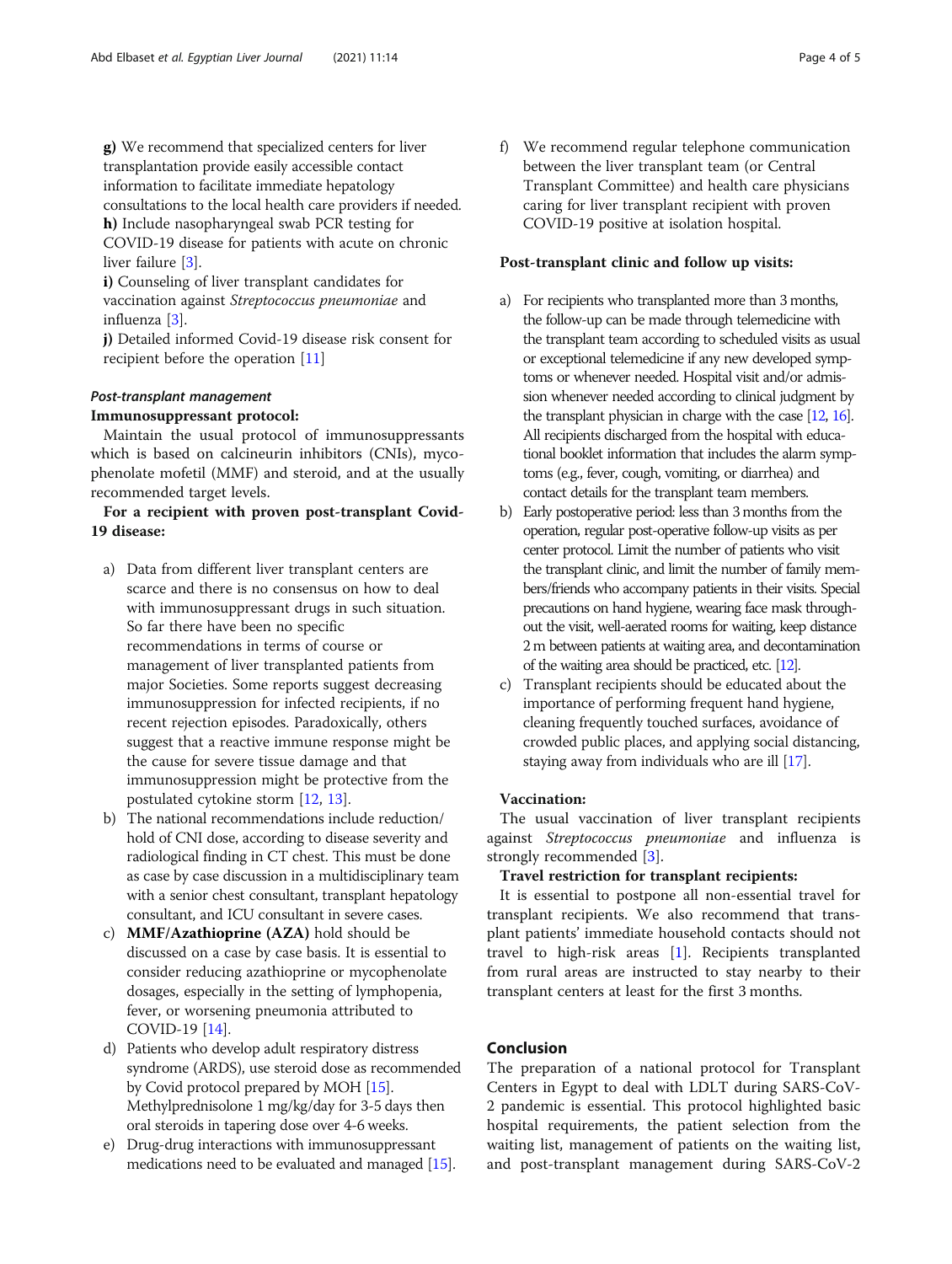g) We recommend that specialized centers for liver transplantation provide easily accessible contact information to facilitate immediate hepatology consultations to the local health care providers if needed. h) Include nasopharyngeal swab PCR testing for

COVID-19 disease for patients with acute on chronic liver failure [\[3](#page-4-0)].

i) Counseling of liver transplant candidates for vaccination against Streptococcus pneumoniae and influenza [\[3](#page-4-0)].

j) Detailed informed Covid-19 disease risk consent for recipient before the operation [[11\]](#page-4-0)

# Post-transplant management

#### Immunosuppressant protocol:

Maintain the usual protocol of immunosuppressants which is based on calcineurin inhibitors (CNIs), mycophenolate mofetil (MMF) and steroid, and at the usually recommended target levels.

# For a recipient with proven post-transplant Covid-19 disease:

- a) Data from different liver transplant centers are scarce and there is no consensus on how to deal with immunosuppressant drugs in such situation. So far there have been no specific recommendations in terms of course or management of liver transplanted patients from major Societies. Some reports suggest decreasing immunosuppression for infected recipients, if no recent rejection episodes. Paradoxically, others suggest that a reactive immune response might be the cause for severe tissue damage and that immunosuppression might be protective from the postulated cytokine storm [\[12,](#page-4-0) [13](#page-4-0)].
- b) The national recommendations include reduction/ hold of CNI dose, according to disease severity and radiological finding in CT chest. This must be done as case by case discussion in a multidisciplinary team with a senior chest consultant, transplant hepatology consultant, and ICU consultant in severe cases.
- c) MMF/Azathioprine (AZA) hold should be discussed on a case by case basis. It is essential to consider reducing azathioprine or mycophenolate dosages, especially in the setting of lymphopenia, fever, or worsening pneumonia attributed to COVID-19 [[14](#page-4-0)].
- d) Patients who develop adult respiratory distress syndrome (ARDS), use steroid dose as recommended by Covid protocol prepared by MOH [[15](#page-4-0)]. Methylprednisolone 1 mg/kg/day for 3-5 days then oral steroids in tapering dose over 4-6 weeks.
- e) Drug-drug interactions with immunosuppressant medications need to be evaluated and managed [[15](#page-4-0)].

f) We recommend regular telephone communication between the liver transplant team (or Central Transplant Committee) and health care physicians caring for liver transplant recipient with proven COVID-19 positive at isolation hospital.

#### Post-transplant clinic and follow up visits:

- a) For recipients who transplanted more than 3 months, the follow-up can be made through telemedicine with the transplant team according to scheduled visits as usual or exceptional telemedicine if any new developed symptoms or whenever needed. Hospital visit and/or admission whenever needed according to clinical judgment by the transplant physician in charge with the case [[12](#page-4-0), [16\]](#page-4-0). All recipients discharged from the hospital with educational booklet information that includes the alarm symptoms (e.g., fever, cough, vomiting, or diarrhea) and contact details for the transplant team members.
- b) Early postoperative period: less than 3 months from the operation, regular post-operative follow-up visits as per center protocol. Limit the number of patients who visit the transplant clinic, and limit the number of family members/friends who accompany patients in their visits. Special precautions on hand hygiene, wearing face mask throughout the visit, well-aerated rooms for waiting, keep distance 2 m between patients at waiting area, and decontamination of the waiting area should be practiced, etc. [\[12\]](#page-4-0).
- c) Transplant recipients should be educated about the importance of performing frequent hand hygiene, cleaning frequently touched surfaces, avoidance of crowded public places, and applying social distancing, staying away from individuals who are ill [[17](#page-4-0)].

#### Vaccination:

The usual vaccination of liver transplant recipients against Streptococcus pneumoniae and influenza is strongly recommended [\[3](#page-4-0)].

#### Travel restriction for transplant recipients:

It is essential to postpone all non-essential travel for transplant recipients. We also recommend that transplant patients' immediate household contacts should not travel to high-risk areas [\[1](#page-4-0)]. Recipients transplanted from rural areas are instructed to stay nearby to their transplant centers at least for the first 3 months.

#### Conclusion

The preparation of a national protocol for Transplant Centers in Egypt to deal with LDLT during SARS-CoV-2 pandemic is essential. This protocol highlighted basic hospital requirements, the patient selection from the waiting list, management of patients on the waiting list, and post-transplant management during SARS-CoV-2